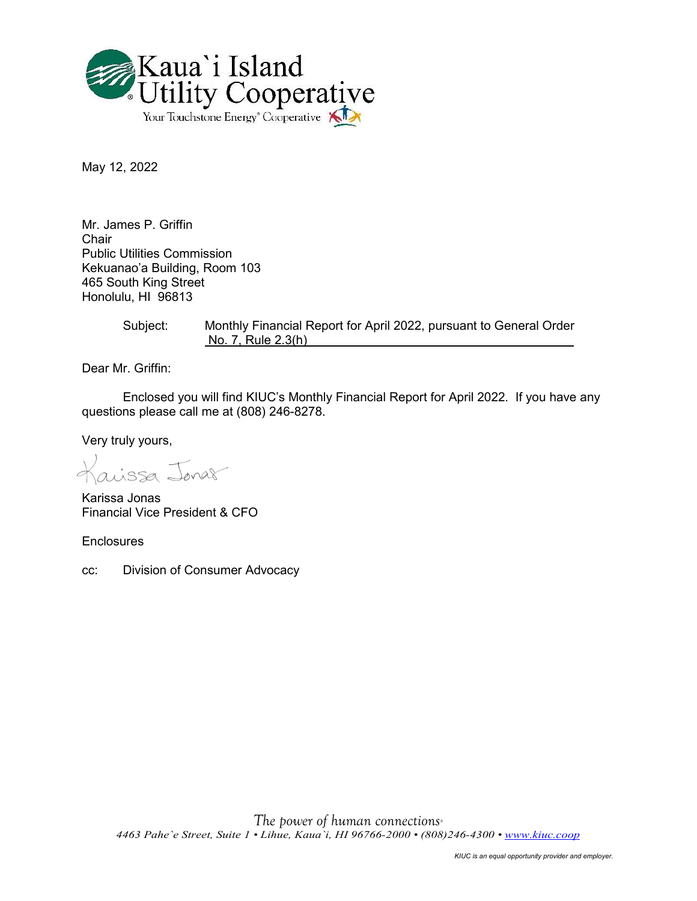

May 12, 2022

Mr. James P. Griffin Chair Public Utilities Commission Kekuanao'a Building, Room 103 465 South King Street Honolulu, HI 96813

> Subject: Monthly Financial Report for April 2022, pursuant to General Order No. 7, Rule 2.3(h)

Dear Mr. Griffin:

Enclosed you will find KIUC's Monthly Financial Report for April 2022. If you have any questions please call me at (808) 246-8278.

Very truly yours,

aissa Jonar

Karissa Jonas Financial Vice President & CFO

**Enclosures** 

cc: Division of Consumer Advocacy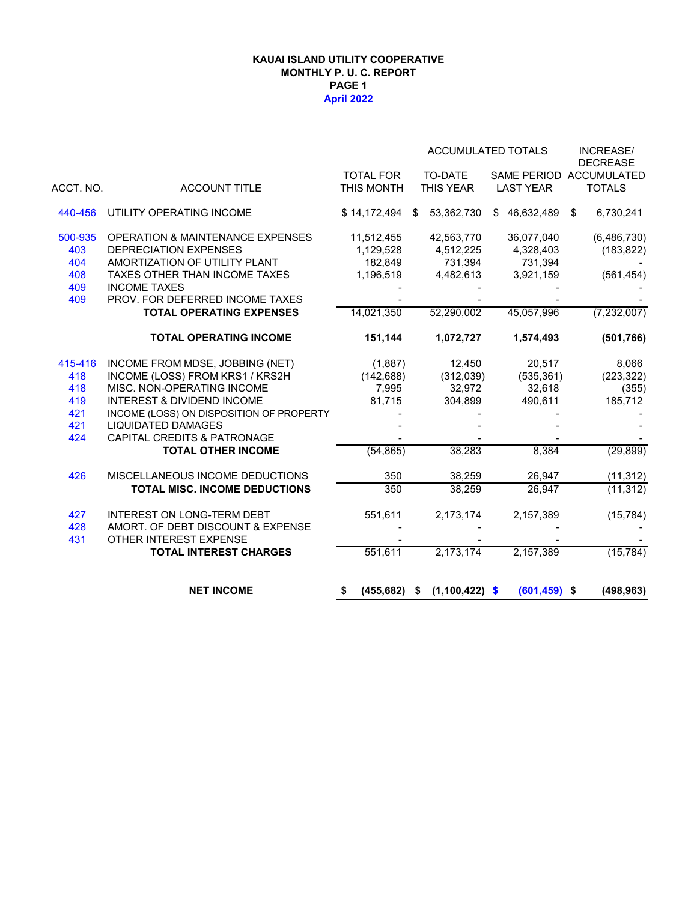### **KAUAI ISLAND UTILITY COOPERATIVE MONTHLY P. U. C. REPORT PAGE 1 April 2022**

|                  |                                             |                  |                        | ACCUMULATED TOTALS | <b>INCREASE/</b><br><b>DECREASE</b> |
|------------------|---------------------------------------------|------------------|------------------------|--------------------|-------------------------------------|
|                  |                                             | <b>TOTAL FOR</b> | <b>TO-DATE</b>         |                    | SAME PERIOD ACCUMULATED             |
| <u>ACCT. NO.</u> | <b>ACCOUNT TITLE</b>                        | THIS MONTH       | <b>THIS YEAR</b>       | <b>LAST YEAR</b>   | <b>TOTALS</b>                       |
| 440-456          | UTILITY OPERATING INCOME                    | \$14,172,494     | 53,362,730<br>\$       | \$46,632,489       | \$<br>6,730,241                     |
| 500-935          | <b>OPERATION &amp; MAINTENANCE EXPENSES</b> | 11,512,455       | 42,563,770             | 36,077,040         | (6,486,730)                         |
| 403              | <b>DEPRECIATION EXPENSES</b>                | 1,129,528        | 4,512,225              | 4,328,403          | (183, 822)                          |
| 404              | AMORTIZATION OF UTILITY PLANT               | 182.849          | 731,394                | 731,394            |                                     |
| 408              | TAXES OTHER THAN INCOME TAXES               | 1,196,519        | 4,482,613              | 3,921,159          | (561, 454)                          |
| 409              | <b>INCOME TAXES</b>                         |                  |                        |                    |                                     |
| 409              | PROV. FOR DEFERRED INCOME TAXES             |                  |                        |                    |                                     |
|                  | <b>TOTAL OPERATING EXPENSES</b>             | 14,021,350       | 52,290,002             | 45,057,996         | (7, 232, 007)                       |
|                  | <b>TOTAL OPERATING INCOME</b>               | 151,144          | 1,072,727              | 1,574,493          | (501, 766)                          |
| 415-416          | INCOME FROM MDSE, JOBBING (NET)             | (1,887)          | 12,450                 | 20,517             | 8,066                               |
| 418              | INCOME (LOSS) FROM KRS1 / KRS2H             | (142, 688)       | (312,039)              | (535, 361)         | (223, 322)                          |
| 418              | MISC. NON-OPERATING INCOME                  | 7,995            | 32,972                 | 32,618             | (355)                               |
| 419              | <b>INTEREST &amp; DIVIDEND INCOME</b>       | 81,715           | 304,899                | 490,611            | 185,712                             |
| 421              | INCOME (LOSS) ON DISPOSITION OF PROPERTY    |                  |                        |                    |                                     |
| 421              | <b>LIQUIDATED DAMAGES</b>                   |                  |                        |                    |                                     |
| 424              | <b>CAPITAL CREDITS &amp; PATRONAGE</b>      |                  |                        |                    |                                     |
|                  | <b>TOTAL OTHER INCOME</b>                   | (54, 865)        | 38,283                 | 8,384              | (29, 899)                           |
| 426              | MISCELLANEOUS INCOME DEDUCTIONS             | 350              | 38,259                 | 26,947             | (11, 312)                           |
|                  | TOTAL MISC. INCOME DEDUCTIONS               | 350              | 38,259                 | 26,947             | (11, 312)                           |
| 427              | <b>INTEREST ON LONG-TERM DEBT</b>           | 551,611          | 2,173,174              | 2,157,389          | (15, 784)                           |
| 428              | AMORT. OF DEBT DISCOUNT & EXPENSE           |                  |                        |                    |                                     |
| 431              | OTHER INTEREST EXPENSE                      |                  |                        |                    |                                     |
|                  | <b>TOTAL INTEREST CHARGES</b>               | 551,611          | 2,173,174              | 2,157,389          | (15, 784)                           |
|                  | <b>NET INCOME</b>                           | (455, 682)<br>\$ | $(1,100,422)$ \$<br>\$ | $(601, 459)$ \$    | (498, 963)                          |
|                  |                                             |                  |                        |                    |                                     |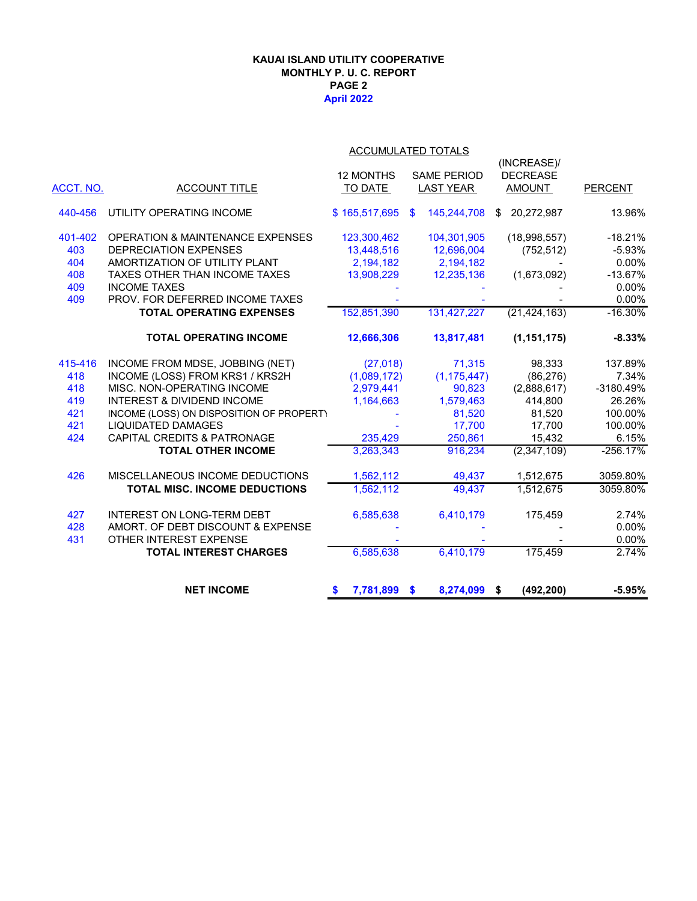### **April 2022 KAUAI ISLAND UTILITY COOPERATIVE MONTHLY P. U. C. REPORT PAGE 2**

| ACCUMULATED TOTALS |
|--------------------|
|                    |

|           |                                             |                    |                              | (INCREASE)/      |                |
|-----------|---------------------------------------------|--------------------|------------------------------|------------------|----------------|
|           |                                             | 12 MONTHS          | <b>SAME PERIOD</b>           | <b>DECREASE</b>  |                |
| ACCT. NO. | <b>ACCOUNT TITLE</b>                        | TO DATE            | <b>LAST YEAR</b>             | <b>AMOUNT</b>    | <b>PERCENT</b> |
|           |                                             |                    |                              |                  |                |
| 440-456   | UTILITY OPERATING INCOME                    | \$165,517,695      | 145,244,708<br>$\mathbf{\$}$ | 20,272,987<br>\$ | 13.96%         |
| 401-402   | <b>OPERATION &amp; MAINTENANCE EXPENSES</b> | 123,300,462        | 104,301,905                  | (18,998,557)     | $-18.21%$      |
| 403       | <b>DEPRECIATION EXPENSES</b>                | 13,448,516         | 12,696,004                   | (752, 512)       | $-5.93%$       |
| 404       | AMORTIZATION OF UTILITY PLANT               | 2,194,182          | 2,194,182                    |                  | 0.00%          |
| 408       | TAXES OTHER THAN INCOME TAXES               | 13,908,229         | 12,235,136                   | (1,673,092)      | $-13.67%$      |
| 409       | <b>INCOME TAXES</b>                         |                    |                              |                  | 0.00%          |
| 409       | PROV. FOR DEFERRED INCOME TAXES             |                    |                              |                  | 0.00%          |
|           | <b>TOTAL OPERATING EXPENSES</b>             | 152,851,390        | 131,427,227                  | (21, 424, 163)   | $-16.30%$      |
|           | <b>TOTAL OPERATING INCOME</b>               | 12,666,306         | 13,817,481                   | (1, 151, 175)    | $-8.33%$       |
| 415-416   | INCOME FROM MDSE, JOBBING (NET)             | (27, 018)          | 71,315                       | 98,333           | 137.89%        |
| 418       | INCOME (LOSS) FROM KRS1 / KRS2H             | (1,089,172)        | (1, 175, 447)                | (86, 276)        | 7.34%          |
| 418       | MISC. NON-OPERATING INCOME                  | 2,979,441          | 90,823                       | (2,888,617)      | -3180.49%      |
| 419       | <b>INTEREST &amp; DIVIDEND INCOME</b>       | 1,164,663          | 1,579,463                    | 414,800          | 26.26%         |
| 421       | INCOME (LOSS) ON DISPOSITION OF PROPERT)    |                    | 81,520                       | 81,520           | 100.00%        |
| 421       | <b>LIQUIDATED DAMAGES</b>                   |                    | 17,700                       | 17,700           | 100.00%        |
| 424       | <b>CAPITAL CREDITS &amp; PATRONAGE</b>      | 235,429            | 250,861                      | 15,432           | 6.15%          |
|           | <b>TOTAL OTHER INCOME</b>                   | 3,263,343          | 916,234                      | (2,347,109)      | $-256.17%$     |
| 426       | MISCELLANEOUS INCOME DEDUCTIONS             | 1,562,112          | 49,437                       | 1,512,675        | 3059.80%       |
|           | <b>TOTAL MISC. INCOME DEDUCTIONS</b>        | 1,562,112          | 49,437                       | 1,512,675        | 3059.80%       |
| 427       | <b>INTEREST ON LONG-TERM DEBT</b>           | 6,585,638          | 6,410,179                    | 175,459          | 2.74%          |
| 428       | AMORT. OF DEBT DISCOUNT & EXPENSE           |                    |                              |                  | 0.00%          |
| 431       | OTHER INTEREST EXPENSE                      |                    |                              |                  | 0.00%          |
|           | <b>TOTAL INTEREST CHARGES</b>               | 6,585,638          | 6,410,179                    | 175,459          | 2.74%          |
|           | <b>NET INCOME</b>                           | 7,781,899 \$<br>\$ | 8,274,099 \$                 | (492, 200)       | $-5.95%$       |
|           |                                             |                    |                              |                  |                |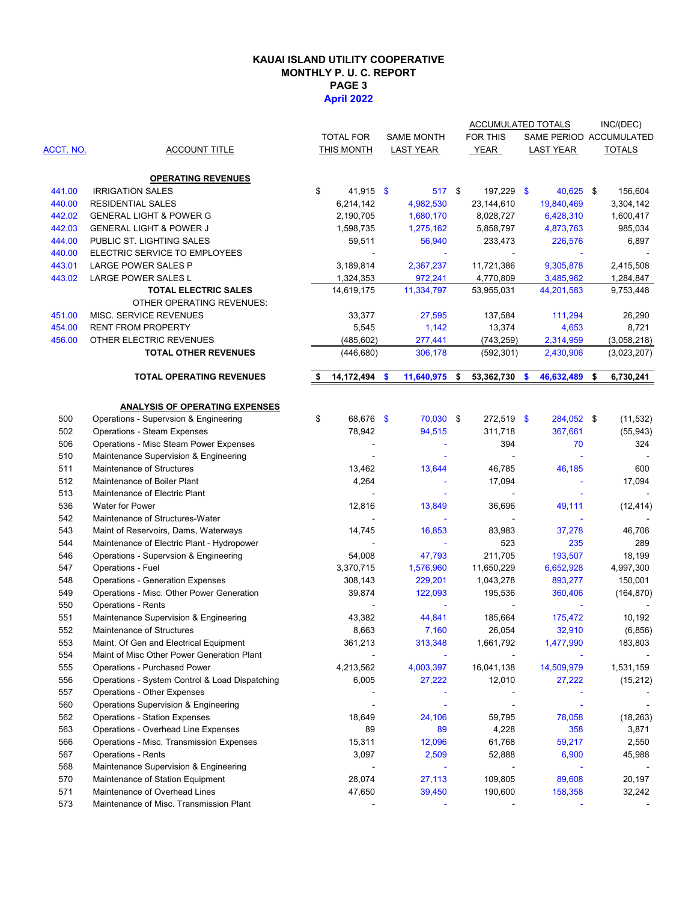### **KAUAI ISLAND UTILITY COOPERATIVE MONTHLY P. U. C. REPORT PAGE 3 April 2022**

|           |                                                                                |                     |                  | <b>ACCUMULATED TOTALS</b> |               |                         | INC/(DEC)           |
|-----------|--------------------------------------------------------------------------------|---------------------|------------------|---------------------------|---------------|-------------------------|---------------------|
|           |                                                                                | <b>TOTAL FOR</b>    | SAME MONTH       | FOR THIS                  |               | SAME PERIOD ACCUMULATED |                     |
| ACCT. NO. | <b>ACCOUNT TITLE</b>                                                           | <b>THIS MONTH</b>   | <b>LAST YEAR</b> | <b>YEAR</b>               |               | <b>LAST YEAR</b>        | <b>TOTALS</b>       |
|           |                                                                                |                     |                  |                           |               |                         |                     |
|           | <b>OPERATING REVENUES</b>                                                      |                     |                  |                           |               |                         |                     |
| 441.00    | <b>IRRIGATION SALES</b>                                                        | \$<br>41,915 \$     | 517 \$           | 197,229 \$                |               | 40,625 \$               | 156,604             |
| 440.00    | <b>RESIDENTIAL SALES</b>                                                       | 6,214,142           | 4,982,530        | 23,144,610                |               | 19,840,469              | 3,304,142           |
| 442.02    | <b>GENERAL LIGHT &amp; POWER G</b>                                             | 2,190,705           | 1,680,170        | 8,028,727                 |               | 6,428,310               | 1,600,417           |
| 442.03    | <b>GENERAL LIGHT &amp; POWER J</b>                                             | 1,598,735           | 1,275,162        | 5,858,797                 |               | 4,873,763               | 985,034             |
| 444.00    | PUBLIC ST. LIGHTING SALES                                                      | 59,511              | 56,940           | 233,473                   |               | 226,576                 | 6,897               |
| 440.00    | ELECTRIC SERVICE TO EMPLOYEES                                                  |                     |                  |                           |               |                         |                     |
| 443.01    | <b>LARGE POWER SALES P</b>                                                     | 3,189,814           | 2,367,237        | 11,721,386                |               | 9,305,878               | 2,415,508           |
| 443.02    | LARGE POWER SALES L                                                            | 1,324,353           | 972,241          | 4,770,809                 |               | 3,485,962               | 1,284,847           |
|           | <b>TOTAL ELECTRIC SALES</b>                                                    | 14,619,175          | 11,334,797       | 53,955,031                |               | 44,201,583              | 9,753,448           |
|           | OTHER OPERATING REVENUES:                                                      |                     |                  |                           |               |                         |                     |
| 451.00    | MISC. SERVICE REVENUES                                                         | 33,377              | 27,595           | 137,584                   |               | 111,294                 | 26,290              |
| 454.00    | <b>RENT FROM PROPERTY</b>                                                      | 5,545               | 1,142            | 13,374                    |               | 4,653                   | 8,721               |
| 456.00    | OTHER ELECTRIC REVENUES                                                        | (485, 602)          | 277,441          | (743, 259)                |               | 2,314,959               | (3,058,218)         |
|           | <b>TOTAL OTHER REVENUES</b>                                                    | (446, 680)          | 306,178          | (592, 301)                |               | 2,430,906               | (3,023,207)         |
|           | <b>TOTAL OPERATING REVENUES</b>                                                |                     |                  |                           |               |                         |                     |
|           |                                                                                | \$<br>14,172,494 \$ | 11,640,975 \$    | 53,362,730                | $\mathbf{\$}$ | 46,632,489              | \$<br>6,730,241     |
|           |                                                                                |                     |                  |                           |               |                         |                     |
| 500       | <b>ANALYSIS OF OPERATING EXPENSES</b><br>Operations - Supervsion & Engineering | \$<br>68,676 \$     | 70,030 \$        | $272,519$ \$              |               | 284,052 \$              | (11, 532)           |
| 502       | <b>Operations - Steam Expenses</b>                                             | 78,942              | 94,515           | 311,718                   |               | 367,661                 | (55, 943)           |
| 506       | Operations - Misc Steam Power Expenses                                         |                     |                  | 394                       |               | 70                      | 324                 |
| 510       | Maintenance Supervision & Engineering                                          |                     |                  |                           |               |                         |                     |
| 511       | Maintenance of Structures                                                      | 13,462              | 13,644           | 46,785                    |               | 46,185                  | 600                 |
| 512       | Maintenance of Boiler Plant                                                    | 4,264               |                  | 17,094                    |               |                         | 17,094              |
| 513       | Maintenance of Electric Plant                                                  |                     |                  | $\blacksquare$            |               |                         |                     |
| 536       | Water for Power                                                                | 12,816              | 13,849           | 36,696                    |               | 49,111                  | (12, 414)           |
| 542       | Maintenance of Structures-Water                                                |                     |                  | $\blacksquare$            |               |                         |                     |
| 543       | Maint of Reservoirs, Dams, Waterways                                           | 14,745              | 16,853           | 83,983                    |               | 37,278                  | 46,706              |
| 544       | Maintenance of Electric Plant - Hydropower                                     |                     |                  | 523                       |               | 235                     | 289                 |
| 546       | Operations - Supervsion & Engineering                                          | 54,008              | 47,793           | 211,705                   |               | 193,507                 | 18,199              |
| 547       | Operations - Fuel                                                              | 3,370,715           | 1,576,960        | 11,650,229                |               | 6,652,928               | 4,997,300           |
| 548       | <b>Operations - Generation Expenses</b>                                        | 308,143             | 229,201          | 1,043,278                 |               | 893,277                 | 150,001             |
| 549       | Operations - Misc. Other Power Generation                                      | 39,874              | 122,093          | 195,536                   |               | 360,406                 | (164, 870)          |
| 550       | <b>Operations - Rents</b>                                                      |                     |                  |                           |               |                         |                     |
| 551       | Maintenance Supervision & Engineering                                          | 43,382              | 44,841           | 185,664                   |               | 175,472                 | 10,192              |
| 552       | Maintenance of Structures                                                      | 8,663               | 7.160            | 26,054                    |               | 32,910                  |                     |
| 553       | Maint. Of Gen and Electrical Equipment                                         |                     | 313,348          |                           |               | 1,477,990               | (6, 856)<br>183,803 |
| 554       | Maint of Misc Other Power Generation Plant                                     | 361,213             |                  | 1,661,792                 |               |                         |                     |
| 555       | <b>Operations - Purchased Power</b>                                            | 4,213,562           | 4,003,397        | 16,041,138                |               | 14,509,979              | 1,531,159           |
|           | Operations - System Control & Load Dispatching                                 |                     |                  |                           |               |                         |                     |
| 556       |                                                                                | 6,005               | 27,222           | 12,010                    |               | 27,222                  | (15,212)            |
| 557       | Operations - Other Expenses                                                    |                     |                  |                           |               |                         |                     |
| 560       | Operations Supervision & Engineering                                           |                     |                  | $\blacksquare$            |               |                         |                     |
| 562       | <b>Operations - Station Expenses</b>                                           | 18,649              | 24,106           | 59,795                    |               | 78,058                  | (18, 263)           |
| 563       | Operations - Overhead Line Expenses                                            | 89                  | 89               | 4,228                     |               | 358                     | 3,871               |
| 566       | Operations - Misc. Transmission Expenses                                       | 15,311              | 12,096           | 61,768                    |               | 59,217                  | 2,550               |
| 567       | <b>Operations - Rents</b>                                                      | 3,097               | 2,509            | 52,888                    |               | 6,900                   | 45,988              |
| 568       | Maintenance Supervision & Engineering                                          |                     |                  |                           |               |                         |                     |
| 570       | Maintenance of Station Equipment                                               | 28,074              | 27,113           | 109,805                   |               | 89,608                  | 20,197              |
| 571       | Maintenance of Overhead Lines<br>Maintenance of Misc. Transmission Plant       | 47,650              | 39,450           | 190,600                   |               | 158,358                 | 32,242              |
| 573       |                                                                                |                     |                  |                           |               |                         |                     |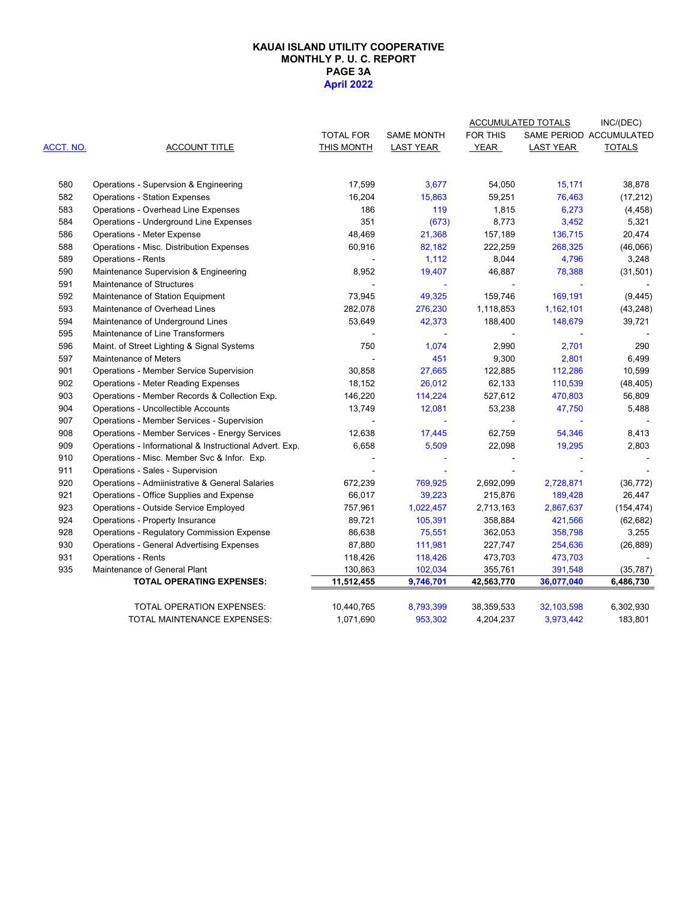#### **PAGE 3A April 2022 KAUAI ISLAND UTILITY COOPERATIVE MONTHLY P. U. C. REPORT**

|           |                                                         |                  |                   |                 | <b>ACCUMULATED TOTALS</b> | INC/(DEC)               |
|-----------|---------------------------------------------------------|------------------|-------------------|-----------------|---------------------------|-------------------------|
|           |                                                         | <b>TOTAL FOR</b> | <b>SAME MONTH</b> | <b>FOR THIS</b> |                           | SAME PERIOD ACCUMULATED |
| ACCT. NO. | <b>ACCOUNT TITLE</b>                                    | THIS MONTH       | <b>LAST YEAR</b>  | YEAR            | <b>LAST YEAR</b>          | <b>TOTALS</b>           |
| 580       | Operations - Supervsion & Engineering                   | 17,599           | 3,677             | 54,050          | 15,171                    | 38,878                  |
| 582       | <b>Operations - Station Expenses</b>                    | 16,204           | 15,863            | 59,251          | 76,463                    | (17, 212)               |
| 583       | Operations - Overhead Line Expenses                     | 186              | 119               | 1,815           | 6,273                     | (4, 458)                |
| 584       | Operations - Underground Line Expenses                  | 351              | (673)             | 8,773           | 3,452                     | 5,321                   |
| 586       | <b>Operations - Meter Expense</b>                       | 48,469           | 21,368            | 157,189         | 136,715                   | 20,474                  |
| 588       | Operations - Misc. Distribution Expenses                | 60,916           | 82,182            | 222,259         | 268,325                   | (46,066)                |
| 589       | <b>Operations - Rents</b>                               |                  | 1,112             | 8,044           | 4,796                     | 3,248                   |
| 590       | Maintenance Supervision & Engineering                   | 8,952            | 19,407            | 46,887          | 78,388                    | (31, 501)               |
| 591       | Maintenance of Structures                               |                  | $\blacksquare$    |                 |                           |                         |
| 592       | Maintenance of Station Equipment                        | 73,945           | 49,325            | 159,746         | 169,191                   | (9, 445)                |
| 593       | Maintenance of Overhead Lines                           | 282,078          | 276,230           | 1,118,853       | 1,162,101                 | (43, 248)               |
| 594       | Maintenance of Underground Lines                        | 53,649           | 42,373            | 188,400         | 148,679                   | 39,721                  |
| 595       | Maintenance of Line Transformers                        |                  |                   |                 |                           |                         |
| 596       | Maint. of Street Lighting & Signal Systems              | 750              | 1,074             | 2,990           | 2,701                     | 290                     |
| 597       | Maintenance of Meters                                   |                  | 451               | 9,300           | 2,801                     | 6,499                   |
| 901       | Operations - Member Service Supervision                 | 30,858           | 27,665            | 122,885         | 112,286                   | 10,599                  |
| 902       | <b>Operations - Meter Reading Expenses</b>              | 18,152           | 26,012            | 62,133          | 110,539                   | (48, 405)               |
| 903       | Operations - Member Records & Collection Exp.           | 146,220          | 114,224           | 527,612         | 470,803                   | 56,809                  |
| 904       | <b>Operations - Uncollectible Accounts</b>              | 13,749           | 12,081            | 53,238          | 47,750                    | 5,488                   |
| 907       | Operations - Member Services - Supervision              |                  |                   |                 |                           |                         |
| 908       | Operations - Member Services - Energy Services          | 12,638           | 17,445            | 62,759          | 54,346                    | 8,413                   |
| 909       | Operations - Informational & Instructional Advert. Exp. | 6,658            | 5,509             | 22,098          | 19,295                    | 2,803                   |
| 910       | Operations - Misc. Member Svc & Infor. Exp.             |                  |                   |                 |                           |                         |
| 911       | Operations - Sales - Supervision                        |                  |                   |                 |                           |                         |
| 920       | Operations - Admiinistrative & General Salaries         | 672,239          | 769,925           | 2,692,099       | 2,728,871                 | (36, 772)               |
| 921       | Operations - Office Supplies and Expense                | 66,017           | 39,223            | 215,876         | 189,428                   | 26,447                  |
| 923       | Operations - Outside Service Employed                   | 757,961          | 1,022,457         | 2,713,163       | 2,867,637                 | (154, 474)              |
| 924       | Operations - Property Insurance                         | 89,721           | 105,391           | 358,884         | 421,566                   | (62, 682)               |
| 928       | <b>Operations - Regulatory Commission Expense</b>       | 86,638           | 75,551            | 362,053         | 358,798                   | 3,255                   |
| 930       | <b>Operations - General Advertising Expenses</b>        | 87,880           | 111,981           | 227,747         | 254,636                   | (26, 889)               |
| 931       | <b>Operations - Rents</b>                               | 118,426          | 118,426           | 473,703         | 473,703                   |                         |
| 935       | Maintenance of General Plant                            | 130,863          | 102,034           | 355,761         | 391,548                   | (35, 787)               |
|           | TOTAL OPERATING EXPENSES:                               | 11,512,455       | 9,746,701         | 42,563,770      | 36,077,040                | 6,486,730               |
|           | TOTAL OPERATION EXPENSES:                               | 10,440,765       | 8,793,399         | 38,359,533      | 32,103,598                | 6,302,930               |
|           | TOTAL MAINTENANCE EXPENSES:                             | 1,071,690        | 953,302           | 4,204,237       | 3,973,442                 | 183,801                 |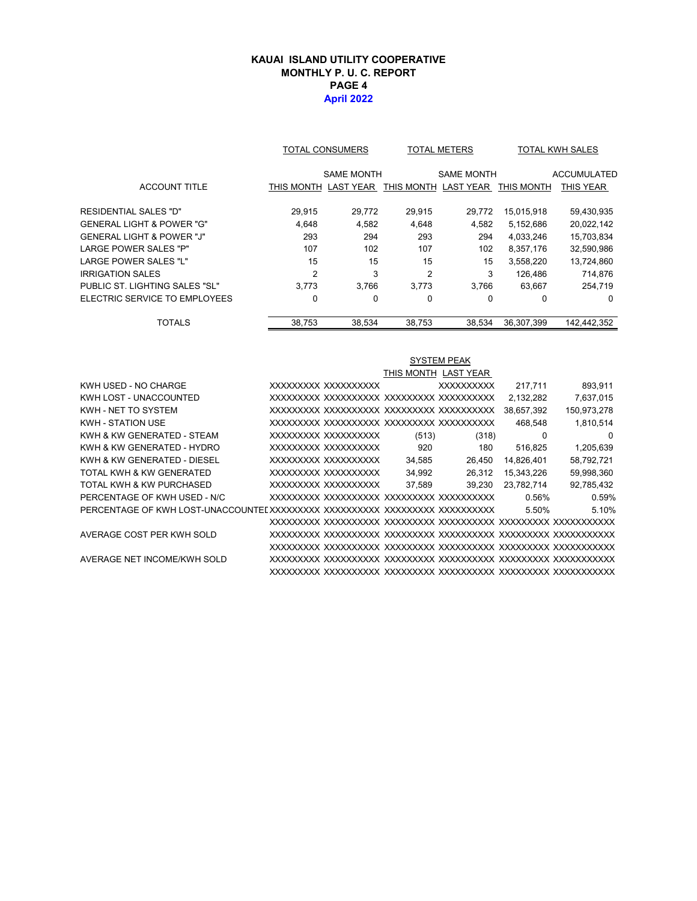### **KAUAI ISLAND UTILITY COOPERATIVE MONTHLY P. U. C. REPORT PAGE 4 April 2022**

|                                      | TOTAL CONSUMERS      |                   |                      | <b>TOTAL METERS</b> | <b>TOTAL KWH SALES</b> |                    |  |
|--------------------------------------|----------------------|-------------------|----------------------|---------------------|------------------------|--------------------|--|
|                                      |                      | <b>SAME MONTH</b> |                      | <b>SAME MONTH</b>   |                        | <b>ACCUMULATED</b> |  |
| <b>ACCOUNT TITLE</b>                 | THIS MONTH LAST YEAR |                   | THIS MONTH LAST YEAR |                     | THIS MONTH             | <b>THIS YEAR</b>   |  |
| RESIDENTIAL SALES "D"                | 29,915               | 29,772            | 29,915               | 29,772              | 15,015,918             | 59,430,935         |  |
| GENERAL LIGHT & POWER "G"            | 4.648                | 4,582             | 4,648                | 4,582               | 5,152,686              | 20,022,142         |  |
| <b>GENERAL LIGHT &amp; POWER "J"</b> | 293                  | 294               | 293                  | 294                 | 4,033,246              | 15,703,834         |  |
| <b>LARGE POWER SALES "P"</b>         | 107                  | 102               | 107                  | 102                 | 8,357,176              | 32,590,986         |  |
| <b>LARGE POWER SALES "L"</b>         | 15                   | 15                | 15                   | 15                  | 3,558,220              | 13,724,860         |  |
| IRRIGATION SALES                     | $\overline{2}$       | 3                 | $\overline{2}$       | 3                   | 126.486                | 714,876            |  |
| PUBLIC ST. LIGHTING SALES "SL"       | 3.773                | 3.766             | 3.773                | 3.766               | 63,667                 | 254,719            |  |
| ELECTRIC SERVICE TO EMPLOYEES        | 0                    | 0                 | 0                    | 0                   | 0                      | $\Omega$           |  |
| TOTALS                               | 38.753               | 38.534            | 38.753               | 38.534              | 36.307.399             | 142.442.352        |  |

|                              |                     |        | <b>SYSTEM PEAK</b>   |            |             |
|------------------------------|---------------------|--------|----------------------|------------|-------------|
|                              |                     |        | THIS MONTH LAST YEAR |            |             |
| KWH USED - NO CHARGE         | XXXXXXXX XXXXXXXXXX |        | <b>XXXXXXXXXX</b>    | 217.711    | 893,911     |
| KWH LOST - UNACCOUNTED       |                     |        |                      | 2,132,282  | 7,637,015   |
| KWH - NET TO SYSTEM          |                     |        |                      | 38,657,392 | 150,973,278 |
| <b>KWH - STATION USE</b>     |                     |        |                      | 468.548    | 1,810,514   |
| KWH & KW GENERATED - STEAM   | XXXXXXXX XXXXXXXXXX | (513)  | (318)                | 0          | 0           |
| KWH & KW GENERATED - HYDRO   | XXXXXXXX XXXXXXXXXX | 920    | 180                  | 516,825    | 1,205,639   |
| KWH & KW GENERATED - DIESEL  | XXXXXXXX XXXXXXXXXX | 34,585 | 26,450               | 14,826,401 | 58,792,721  |
| TOTAL KWH & KW GENERATED     | XXXXXXXX XXXXXXXXXX | 34,992 | 26,312               | 15,343,226 | 59,998,360  |
| TOTAL KWH & KW PURCHASED     | XXXXXXXX XXXXXXXXXX | 37.589 | 39,230               | 23.782.714 | 92,785,432  |
| PERCENTAGE OF KWH USED - N/C |                     |        |                      | 0.56%      | 0.59%       |
|                              |                     |        |                      | 5.50%      | 5.10%       |
|                              |                     |        |                      |            |             |
| AVERAGE COST PER KWH SOLD    |                     |        |                      |            |             |
|                              |                     |        |                      |            |             |
| AVERAGE NET INCOME/KWH SOLD  |                     |        |                      |            |             |
|                              |                     |        |                      |            |             |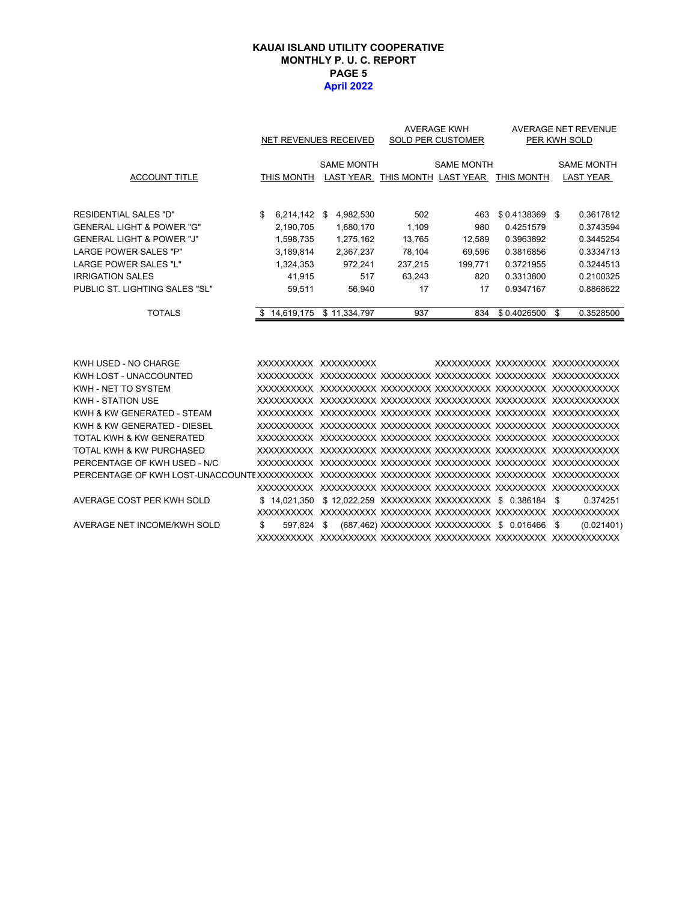### **PAGE 5 April 2022 KAUAI ISLAND UTILITY COOPERATIVE MONTHLY P. U. C. REPORT**

|                                      |    | NET REVENUES RECEIVED |    |                   | <b>AVERAGE KWH</b><br>SOLD PER CUSTOMER | <b>AVERAGE NET REVENUE</b><br>PER KWH SOLD          |                 |    |                                       |
|--------------------------------------|----|-----------------------|----|-------------------|-----------------------------------------|-----------------------------------------------------|-----------------|----|---------------------------------------|
| <b>ACCOUNT TITLE</b>                 |    | THIS MONTH            |    | <b>SAME MONTH</b> |                                         | <b>SAME MONTH</b><br>LAST YEAR THIS MONTH LAST YEAR | THIS MONTH      |    | <b>SAME MONTH</b><br><b>LAST YEAR</b> |
|                                      |    |                       |    |                   |                                         |                                                     |                 |    |                                       |
| <b>RESIDENTIAL SALES "D"</b>         | \$ | 6,214,142             | \$ | 4,982,530         | 502                                     | 463                                                 | $$0.4138369$ \$ |    | 0.3617812                             |
| <b>GENERAL LIGHT &amp; POWER "G"</b> |    | 2,190,705             |    | 1,680,170         | 1.109                                   | 980                                                 | 0.4251579       |    | 0.3743594                             |
| <b>GENERAL LIGHT &amp; POWER "J"</b> |    | 1,598,735             |    | 1,275,162         | 13,765                                  | 12,589                                              | 0.3963892       |    | 0.3445254                             |
| <b>LARGE POWER SALES "P"</b>         |    | 3,189,814             |    | 2,367,237         | 78,104                                  | 69,596                                              | 0.3816856       |    | 0.3334713                             |
| <b>LARGE POWER SALES "L"</b>         |    | 1,324,353             |    | 972.241           | 237.215                                 | 199.771                                             | 0.3721955       |    | 0.3244513                             |
| <b>IRRIGATION SALES</b>              |    | 41.915                |    | 517               | 63.243                                  | 820                                                 | 0.3313800       |    | 0.2100325                             |
| PUBLIC ST. LIGHTING SALES "SL"       |    | 59.511                |    | 56.940            | 17                                      | 17                                                  | 0.9347167       |    | 0.8868622                             |
| <b>TOTALS</b>                        | S. | 14,619,175            |    | \$11,334,797      | 937                                     | 834                                                 | \$0.4026500     | \$ | 0.3528500                             |
|                                      |    |                       |    |                   |                                         |                                                     |                 |    |                                       |
| KWH USED - NO CHARGE                 |    | XXXXXXXXXX XXXXXXXXXX |    |                   |                                         | XXXXXXXXX XXXXXXXXX XXXXXXXXXXXX                    |                 |    |                                       |
| KWH LOST - UNACCOUNTED               |    |                       |    |                   |                                         |                                                     |                 |    |                                       |
| KWH - NET TO SYSTEM                  |    |                       |    |                   |                                         |                                                     |                 |    |                                       |
| KWH - STATION USE                    |    |                       |    |                   |                                         |                                                     |                 |    |                                       |
| KWH & KW GENERATED - STEAM           |    |                       |    |                   |                                         |                                                     |                 |    |                                       |
| KWH & KW GENERATED - DIESEL          |    |                       |    |                   |                                         |                                                     |                 |    |                                       |

| <b>KWH - STATION USE</b>     |     |            |  |                                                              |            |
|------------------------------|-----|------------|--|--------------------------------------------------------------|------------|
| KWH & KW GENERATED - STEAM   |     |            |  |                                                              |            |
| KWH & KW GENERATED - DIESEL  |     |            |  |                                                              |            |
| TOTAL KWH & KW GENERATED     |     |            |  |                                                              |            |
| TOTAL KWH & KW PURCHASED     |     |            |  |                                                              |            |
| PERCENTAGE OF KWH USED - N/C |     |            |  |                                                              |            |
|                              |     |            |  |                                                              |            |
|                              |     |            |  |                                                              |            |
| AVERAGE COST PER KWH SOLD    |     |            |  | \$14.021.350 \$12.022.259 XXXXXXXXX XXXXXXXXXX \$0.386184 \$ | 0.374251   |
|                              |     |            |  |                                                              |            |
| AVERAGE NET INCOME/KWH SOLD  | \$. | 597.824 \$ |  | (687,462) XXXXXXXXX XXXXXXXXXX \$ 0.016466 \$                | (0.021401) |
|                              |     |            |  |                                                              |            |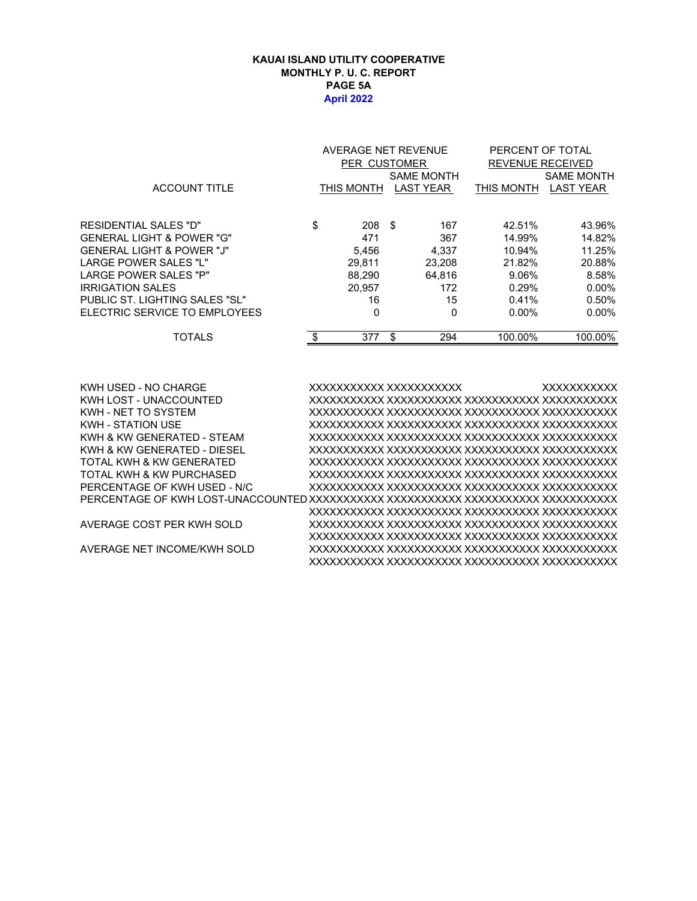#### **KAUAI ISLAND UTILITY COOPERATIVE MONTHLY P. U. C. REPORT PAGE 5A April 2022**

|                                | AVERAGE NET REVENUE |                  |    |                   | PERCENT OF TOTAL        |                   |  |  |
|--------------------------------|---------------------|------------------|----|-------------------|-------------------------|-------------------|--|--|
|                                |                     | PER CUSTOMER     |    |                   | <b>REVENUE RECEIVED</b> |                   |  |  |
|                                |                     |                  |    | <b>SAME MONTH</b> |                         | <b>SAME MONTH</b> |  |  |
| <b>ACCOUNT TITLE</b>           |                     | THIS MONTH       |    | <b>LAST YEAR</b>  | THIS MONTH              | <b>LAST YEAR</b>  |  |  |
|                                |                     |                  |    |                   |                         |                   |  |  |
| RESIDENTIAL SALES "D"          | \$                  | $208 \text{ } $$ |    | 167               | 42.51%                  | 43.96%            |  |  |
| GENERAL LIGHT & POWER "G"      |                     | 471              |    | 367               | 14.99%                  | 14.82%            |  |  |
| GENERAL LIGHT & POWER "J"      |                     | 5.456            |    | 4.337             | 10.94%                  | 11.25%            |  |  |
| LARGE POWER SALES "L"          |                     | 29.811           |    | 23.208            | 21.82%                  | 20.88%            |  |  |
| LARGE POWER SALES "P"          |                     | 88,290           |    | 64,816            | 9.06%                   | 8.58%             |  |  |
| IRRIGATION SALES               |                     | 20.957           |    | 172               | 0.29%                   | $0.00\%$          |  |  |
| PUBLIC ST. LIGHTING SALES "SL" |                     | 16               |    | 15                | 0.41%                   | 0.50%             |  |  |
| ELECTRIC SERVICE TO EMPLOYEES  |                     | 0                |    | 0                 | $0.00\%$                | $0.00\%$          |  |  |
| <b>TOTALS</b>                  | \$                  | 377              | \$ | 294               | 100.00%                 | 100.00%           |  |  |
|                                |                     |                  |    |                   |                         |                   |  |  |

KWH USED - NO CHARGE XXXXXXXXXXX XXXXXXXXXXX XXXXXXXXXXX KWH LOST - UNACCOUNTED XXXXXXXXXXX XXXXXXXXXXX XXXXXXXXXXX XXXXXXXXXXX KWH - NET TO SYSTEM XXXXXXXXXXX XXXXXXXXXXX XXXXXXXXXXX XXXXXXXXXXX KWH - STATION USE XXXXXXXXXXX XXXXXXXXXXX XXXXXXXXXXX XXXXXXXXXXX KWH & KW GENERATED - STEAM XXXXXXXXXXX XXXXXXXXXXX XXXXXXXXXXX XXXXXXXXXXX KWH & KW GENERATED - DIESEL XXXXXXXXXXX XXXXXXXXXXX XXXXXXXXXXX XXXXXXXXXXX TOTAL KWH & KW GENERATED XXXXXXXXXXX XXXXXXXXXXX XXXXXXXXXXX XXXXXXXXXXX TOTAL KWH & KW PURCHASED XXXXXXXXXXX XXXXXXXXXXX XXXXXXXXXXX XXXXXXXXXXX PERCENTAGE OF KWH USED - N/C XXXXXXXXXXX XXXXXXXXXXX XXXXXXXXXXX XXXXXXXXXXX PERCENTAGE OF KWH LOST-UNACCOUNTED XXXXXXXXXXX XXXXXXXXXXX XXXXXXXXXXX XXXXXXXXXXX XXXXXXXXXXX XXXXXXXXXXX XXXXXXXXXXX XXXXXXXXXXX AVERAGE COST PER KWH SOLD XXXXXXXXXXX XXXXXXXXXXX XXXXXXXXXXX XXXXXXXXXXX XXXXXXXXXXX XXXXXXXXXXX XXXXXXXXXXX XXXXXXXXXXX AVERAGE NET INCOME/KWH SOLD XXXXXXXXXXX XXXXXXXXXXX XXXXXXXXXXX XXXXXXXXXXX XXXXXXXXXXX XXXXXXXXXXX XXXXXXXXXXX XXXXXXXXXXX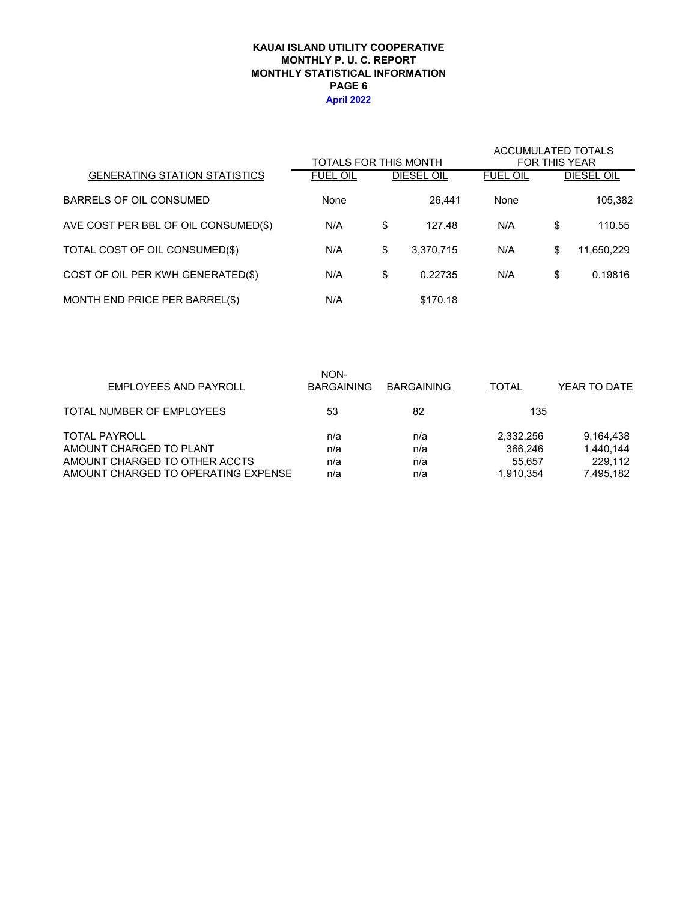### **KAUAI ISLAND UTILITY COOPERATIVE MONTHLY STATISTICAL INFORMATION MONTHLY P. U. C. REPORT PAGE 6 April 2022**

|                                      | TOTALS FOR THIS MONTH |                 | <b>ACCUMULATED TOTALS</b> | <b>FOR THIS YEAR</b> |                   |
|--------------------------------------|-----------------------|-----------------|---------------------------|----------------------|-------------------|
| <b>GENERATING STATION STATISTICS</b> | <b>FUEL OIL</b>       | DIESEL OIL      | <b>FUEL OIL</b>           |                      | <b>DIESEL OIL</b> |
| BARRELS OF OIL CONSUMED              | None                  | 26.441          | None                      |                      | 105,382           |
| AVE COST PER BBL OF OIL CONSUMED(\$) | N/A                   | \$<br>127.48    | N/A                       | \$                   | 110.55            |
| TOTAL COST OF OIL CONSUMED(\$)       | N/A                   | \$<br>3,370,715 | N/A                       | \$                   | 11,650,229        |
| COST OF OIL PER KWH GENERATED(\$)    | N/A                   | \$<br>0.22735   | N/A                       | \$                   | 0.19816           |
| MONTH END PRICE PER BARREL(\$)       | N/A                   | \$170.18        |                           |                      |                   |

| <b>EMPLOYEES AND PAYROLL</b>        | NON-<br><b>BARGAINING</b> | <b>BARGAINING</b> | <b>TOTAL</b> | YEAR TO DATE |
|-------------------------------------|---------------------------|-------------------|--------------|--------------|
| TOTAL NUMBER OF EMPLOYEES           | 53                        | 82                | 135          |              |
| <b>TOTAL PAYROLL</b>                | n/a                       | n/a               | 2,332,256    | 9,164,438    |
| AMOUNT CHARGED TO PLANT             | n/a                       | n/a               | 366.246      | 1,440,144    |
| AMOUNT CHARGED TO OTHER ACCTS       | n/a                       | n/a               | 55.657       | 229.112      |
| AMOUNT CHARGED TO OPERATING EXPENSE | n/a                       | n/a               | 1.910.354    | 7,495,182    |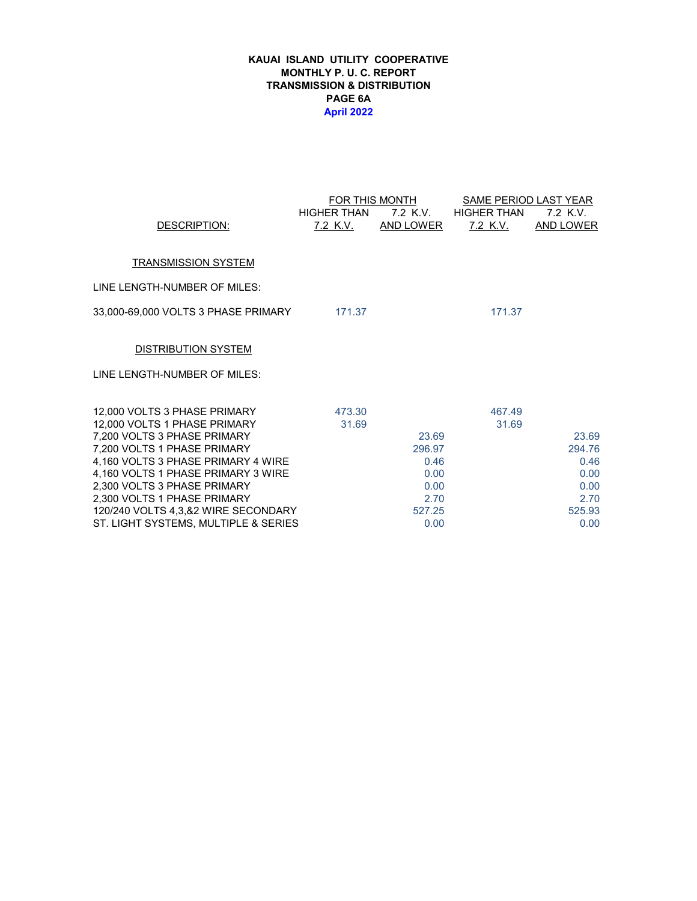### **KAUAI ISLAND UTILITY COOPERATIVE MONTHLY P. U. C. REPORT TRANSMISSION & DISTRIBUTION PAGE 6A April 2022**

|                                                                   |                    | FOR THIS MONTH | SAME PERIOD LAST YEAR |                  |
|-------------------------------------------------------------------|--------------------|----------------|-----------------------|------------------|
|                                                                   | <b>HIGHER THAN</b> | 7.2 K.V.       | <b>HIGHER THAN</b>    | 7.2 K.V.         |
| DESCRIPTION:                                                      | <u>7.2 K.V.</u>    | AND LOWER      | <u>7.2 K.V.</u>       | <b>AND LOWER</b> |
|                                                                   |                    |                |                       |                  |
| <b>TRANSMISSION SYSTEM</b>                                        |                    |                |                       |                  |
| LINE LENGTH-NUMBER OF MILES:                                      |                    |                |                       |                  |
|                                                                   | 171.37             |                | 171.37                |                  |
|                                                                   |                    |                |                       |                  |
| <b>DISTRIBUTION SYSTEM</b>                                        |                    |                |                       |                  |
| LINE LENGTH-NUMBER OF MILES:                                      |                    |                |                       |                  |
|                                                                   |                    |                |                       |                  |
| 12,000 VOLTS 3 PHASE PRIMARY                                      | 473.30             |                | 467.49                |                  |
| 12,000 VOLTS 1 PHASE PRIMARY                                      | 31.69              |                | 31.69                 |                  |
| 7,200 VOLTS 3 PHASE PRIMARY                                       |                    | 23.69          |                       | 23.69            |
| 7,200 VOLTS 1 PHASE PRIMARY                                       |                    | 296.97         |                       | 294.76           |
| 4,160 VOLTS 3 PHASE PRIMARY 4 WIRE                                |                    | 0.46           |                       | 0.46             |
| 4,160 VOLTS 1 PHASE PRIMARY 3 WIRE<br>2,300 VOLTS 3 PHASE PRIMARY |                    | 0.00<br>0.00   |                       | 0.00<br>0.00     |
| 2,300 VOLTS 1 PHASE PRIMARY                                       |                    | 2.70           |                       | 2.70             |
| 120/240 VOLTS 4,3,&2 WIRE SECONDARY                               |                    | 527.25         |                       | 525.93           |
| ST. LIGHT SYSTEMS, MULTIPLE & SERIES                              |                    | 0.00           |                       | 0.00             |
|                                                                   |                    |                |                       |                  |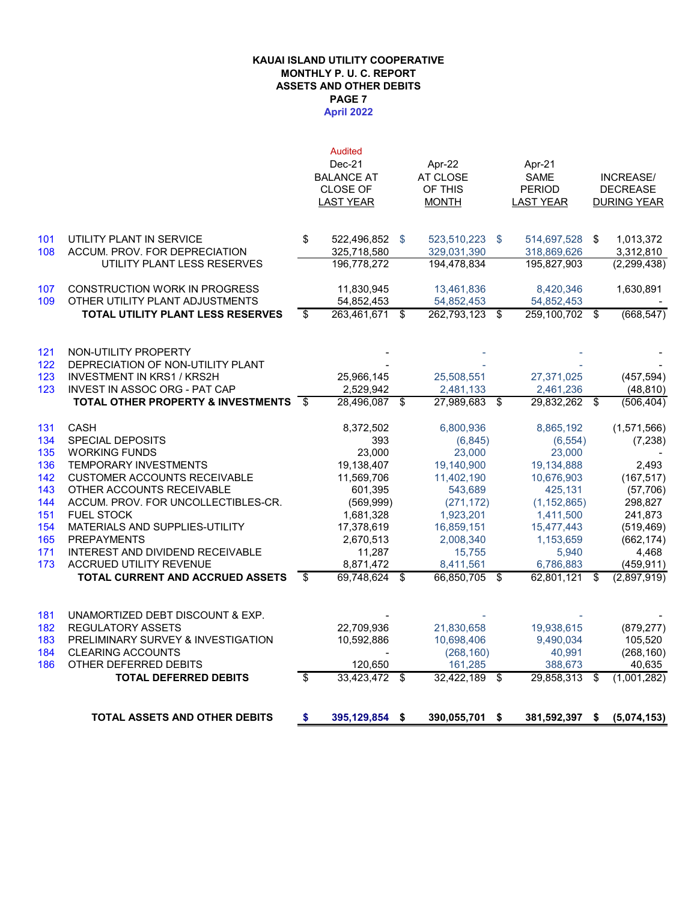#### **KAUAI ISLAND UTILITY COOPERATIVE MONTHLY P. U. C. REPORT ASSETS AND OTHER DEBITS April 2022 PAGE 7**

|            | <b>TOTAL ASSETS AND OTHER DEBITS</b>                      | S    | 395,129,854                         | \$<br>390,055,701              | S    | 381,592,397                       | \$<br>(5,074,153)                     |
|------------|-----------------------------------------------------------|------|-------------------------------------|--------------------------------|------|-----------------------------------|---------------------------------------|
|            |                                                           |      |                                     |                                |      |                                   |                                       |
| 186        | OTHER DEFERRED DEBITS<br><b>TOTAL DEFERRED DEBITS</b>     | s,   | 120,650<br>33,423,472               | \$<br>161,285<br>32,422,189 \$ |      | 388,673<br>29,858,313 \$          | 40,635<br>(1,001,282)                 |
| 184        | <b>CLEARING ACCOUNTS</b>                                  |      |                                     | (268, 160)                     |      | 40,991                            | (268, 160)                            |
| 183        | PRELIMINARY SURVEY & INVESTIGATION                        |      | 10,592,886                          | 10,698,406                     |      | 9,490,034                         | 105,520                               |
| 182        | <b>REGULATORY ASSETS</b>                                  |      | 22,709,936                          | 21,830,658                     |      | 19,938,615                        | (879, 277)                            |
| 181        | UNAMORTIZED DEBT DISCOUNT & EXP.                          |      |                                     |                                |      |                                   |                                       |
|            | <b>TOTAL CURRENT AND ACCRUED ASSETS</b>                   | \$   | 69,748,624                          | \$<br>66,850,705               | - \$ | 62,801,121                        | \$<br>(2,897,919)                     |
| 173        | ACCRUED UTILITY REVENUE                                   |      | 8,871,472                           | 8,411,561                      |      | 6,786,883                         | (459, 911)                            |
| 171        | INTEREST AND DIVIDEND RECEIVABLE                          |      | 11,287                              | 15,755                         |      | 5,940                             | 4,468                                 |
| 165        | <b>PREPAYMENTS</b>                                        |      | 2,670,513                           | 2,008,340                      |      | 1,153,659                         | (662, 174)                            |
| 154        | MATERIALS AND SUPPLIES-UTILITY                            |      | 17,378,619                          | 16,859,151                     |      | 15,477,443                        | (519, 469)                            |
| 151        | <b>FUEL STOCK</b>                                         |      | 1,681,328                           | 1,923,201                      |      | 1,411,500                         | 241,873                               |
| 144        | ACCUM. PROV. FOR UNCOLLECTIBLES-CR.                       |      | (569, 999)                          | (271, 172)                     |      | (1, 152, 865)                     | 298,827                               |
| 143        | OTHER ACCOUNTS RECEIVABLE                                 |      | 601,395                             | 543,689                        |      | 425,131                           | (57, 706)                             |
| 142        | <b>CUSTOMER ACCOUNTS RECEIVABLE</b>                       |      | 11,569,706                          | 11,402,190                     |      | 10,676,903                        | (167, 517)                            |
| 136        | <b>TEMPORARY INVESTMENTS</b>                              |      | 19,138,407                          | 19,140,900                     |      | 19,134,888                        | 2,493                                 |
| 135        | <b>WORKING FUNDS</b>                                      |      | 23,000                              | 23,000                         |      | 23,000                            |                                       |
| 134        | SPECIAL DEPOSITS                                          |      | 393                                 | (6, 845)                       |      | (6, 554)                          | (7, 238)                              |
| 131        | <b>CASH</b>                                               |      | 8,372,502                           | 6,800,936                      |      | 8,865,192                         | (1,571,566)                           |
|            | <b>TOTAL OTHER PROPERTY &amp; INVESTMENTS</b>             | - \$ | 28.496.087                          | \$<br>27.989.683               | - \$ | 29,832,262 \$                     | (506, 404)                            |
| 123        | INVEST IN ASSOC ORG - PAT CAP                             |      | 2,529,942                           | 2,481,133                      |      | 2,461,236                         | (48, 810)                             |
| 123        | <b>INVESTMENT IN KRS1 / KRS2H</b>                         |      | 25,966,145                          | 25,508,551                     |      | 27,371,025                        | (457, 594)                            |
| 121<br>122 | NON-UTILITY PROPERTY<br>DEPRECIATION OF NON-UTILITY PLANT |      |                                     |                                |      |                                   |                                       |
|            | <b>TOTAL UTILITY PLANT LESS RESERVES</b>                  | \$   | 263,461,671                         | \$<br>262,793,123 \$           |      | 259,100,702 \$                    | (668, 547)                            |
| 109        | OTHER UTILITY PLANT ADJUSTMENTS                           |      | 54,852,453                          | 54,852,453                     |      | 54,852,453                        |                                       |
| 107        | <b>CONSTRUCTION WORK IN PROGRESS</b>                      |      | 11,830,945                          | 13,461,836                     |      | 8,420,346                         | 1,630,891                             |
|            | UTILITY PLANT LESS RESERVES                               |      | 196,778,272                         | 194,478,834                    |      | 195,827,903                       | (2, 299, 438)                         |
| 108        | ACCUM. PROV. FOR DEPRECIATION                             |      | 325,718,580                         | 329,031,390                    |      | 318,869,626                       | 3,312,810                             |
| 101        | UTILITY PLANT IN SERVICE                                  | \$   | 522,496,852                         | \$<br>523,510,223              | - \$ | 514,697,528                       | \$<br>1,013,372                       |
|            |                                                           |      |                                     |                                |      |                                   |                                       |
|            |                                                           |      | <b>CLOSE OF</b><br><b>LAST YEAR</b> | OF THIS<br><b>MONTH</b>        |      | <b>PERIOD</b><br><b>LAST YEAR</b> | <b>DECREASE</b><br><b>DURING YEAR</b> |
|            |                                                           |      | <b>BALANCE AT</b>                   | AT CLOSE                       |      | <b>SAME</b>                       | <b>INCREASE/</b>                      |
|            |                                                           |      | $Dec-21$                            | Apr-22                         |      | Apr-21                            |                                       |
|            |                                                           |      | <b>Audited</b>                      |                                |      |                                   |                                       |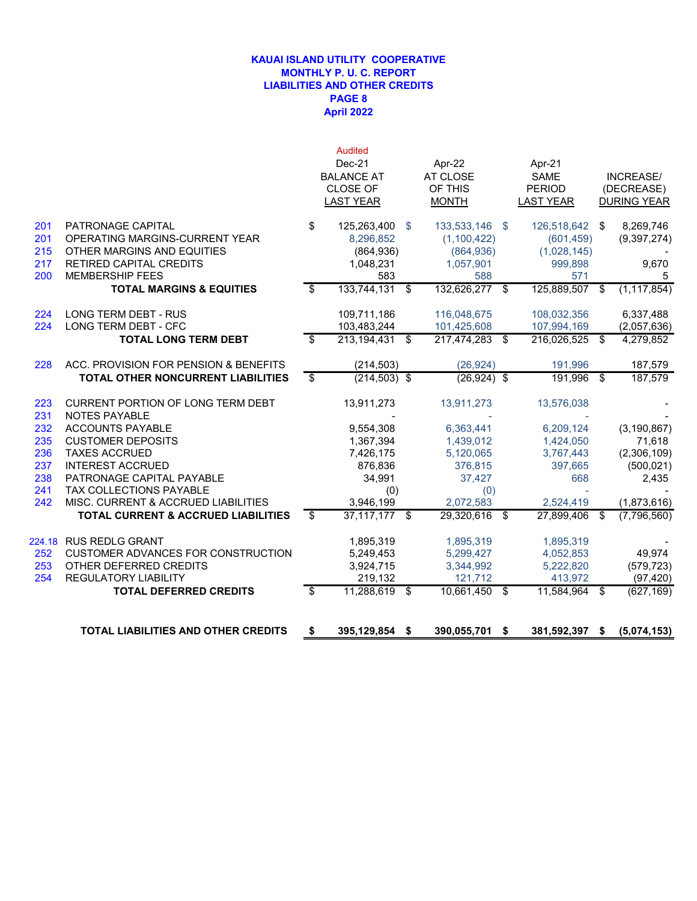### **April 2022 KAUAI ISLAND UTILITY COOPERATIVE MONTHLY P. U. C. REPORT LIABILITIES AND OTHER CREDITS PAGE 8**

|            |                                                                | <b>Audited</b><br>Dec-21 |      | Apr-22           |      | Apr-21                  |     |                    |
|------------|----------------------------------------------------------------|--------------------------|------|------------------|------|-------------------------|-----|--------------------|
|            |                                                                | <b>BALANCE AT</b>        |      | AT CLOSE         |      | <b>SAME</b>             |     | INCREASE/          |
|            |                                                                | <b>CLOSE OF</b>          |      | OF THIS          |      | <b>PERIOD</b>           |     | (DECREASE)         |
|            |                                                                | <b>LAST YEAR</b>         |      | <b>MONTH</b>     |      | <b>LAST YEAR</b>        |     | <b>DURING YEAR</b> |
| 201        | PATRONAGE CAPITAL                                              | \$<br>125,263,400        | - \$ | 133,533,146      | -\$  | 126,518,642             | \$  | 8,269,746          |
| 201        | OPERATING MARGINS-CURRENT YEAR                                 | 8,296,852                |      | (1,100,422)      |      | (601, 459)              |     | (9, 397, 274)      |
| 215        | OTHER MARGINS AND EQUITIES                                     | (864, 936)               |      | (864, 936)       |      | (1,028,145)             |     |                    |
| 217        | RETIRED CAPITAL CREDITS                                        | 1,048,231                |      | 1,057,901        |      | 999,898                 |     | 9,670              |
| 200        | <b>MEMBERSHIP FEES</b>                                         | 583                      |      | 588              |      | 571                     |     | 5                  |
|            | <b>TOTAL MARGINS &amp; EQUITIES</b>                            | \$<br>133,744,131        | -\$  | 132,626,277      | \$   | 125,889,507             | -\$ | (1, 117, 854)      |
| 224        | <b>LONG TERM DEBT - RUS</b>                                    | 109,711,186              |      | 116,048,675      |      | 108,032,356             |     | 6,337,488          |
| 224        | LONG TERM DEBT - CFC                                           | 103,483,244              |      | 101,425,608      |      | 107,994,169             |     | (2,057,636)        |
|            | <b>TOTAL LONG TERM DEBT</b>                                    | \$<br>213,194,431        | -\$  | 217,474,283      | \$   | 216,026,525             | \$  | 4,279,852          |
| 228        | ACC. PROVISION FOR PENSION & BENEFITS                          | (214, 503)               |      | (26, 924)        |      | 191.996                 |     | 187,579            |
|            | TOTAL OTHER NONCURRENT LIABILITIES                             | \$<br>$(214, 503)$ \$    |      | $(26, 924)$ \$   |      | 191,996                 | \$  | 187,579            |
| 223        | CURRENT PORTION OF LONG TERM DEBT                              | 13,911,273               |      | 13,911,273       |      | 13,576,038              |     |                    |
| 231        | <b>NOTES PAYABLE</b>                                           |                          |      |                  |      |                         |     |                    |
| 232        | <b>ACCOUNTS PAYABLE</b>                                        | 9,554,308                |      | 6,363,441        |      | 6,209,124               |     | (3, 190, 867)      |
| 235        | <b>CUSTOMER DEPOSITS</b>                                       | 1,367,394                |      | 1,439,012        |      | 1,424,050               |     | 71,618             |
| 236        | <b>TAXES ACCRUED</b>                                           | 7,426,175                |      | 5,120,065        |      | 3,767,443               |     | (2,306,109)        |
| 237        | <b>INTEREST ACCRUED</b>                                        | 876,836                  |      | 376,815          |      | 397,665                 |     | (500, 021)         |
| 238        | PATRONAGE CAPITAL PAYABLE                                      | 34,991                   |      | 37,427           |      | 668                     |     | 2,435              |
| 241<br>242 | TAX COLLECTIONS PAYABLE<br>MISC. CURRENT & ACCRUED LIABILITIES | (0)<br>3,946,199         |      | (0)<br>2,072,583 |      |                         |     | (1,873,616)        |
|            | <b>TOTAL CURRENT &amp; ACCRUED LIABILITIES</b>                 | \$<br>$37,117,177$ \$    |      | 29,320,616       | \$   | 2,524,419<br>27,899,406 | \$  | (7,796,560)        |
|            |                                                                |                          |      |                  |      |                         |     |                    |
|            | 224.18 RUS REDLG GRANT                                         | 1,895,319                |      | 1,895,319        |      | 1,895,319               |     |                    |
| 252        | <b>CUSTOMER ADVANCES FOR CONSTRUCTION</b>                      | 5,249,453                |      | 5,299,427        |      | 4,052,853               |     | 49,974             |
| 253        | OTHER DEFERRED CREDITS                                         | 3,924,715                |      | 3,344,992        |      | 5,222,820               |     | (579, 723)         |
| 254        | REGULATORY LIABILITY                                           | 219,132                  |      | 121,712          |      | 413,972                 |     | (97, 420)          |
|            | <b>TOTAL DEFERRED CREDITS</b>                                  | \$<br>11,288,619 \$      |      | 10,661,450       | -\$  | 11,584,964              | -\$ | (627, 169)         |
|            | <b>TOTAL LIABILITIES AND OTHER CREDITS</b>                     | \$<br>395,129,854 \$     |      | 390,055,701      | - \$ | 381,592,397 \$          |     | (5,074,153)        |
|            |                                                                |                          |      |                  |      |                         |     |                    |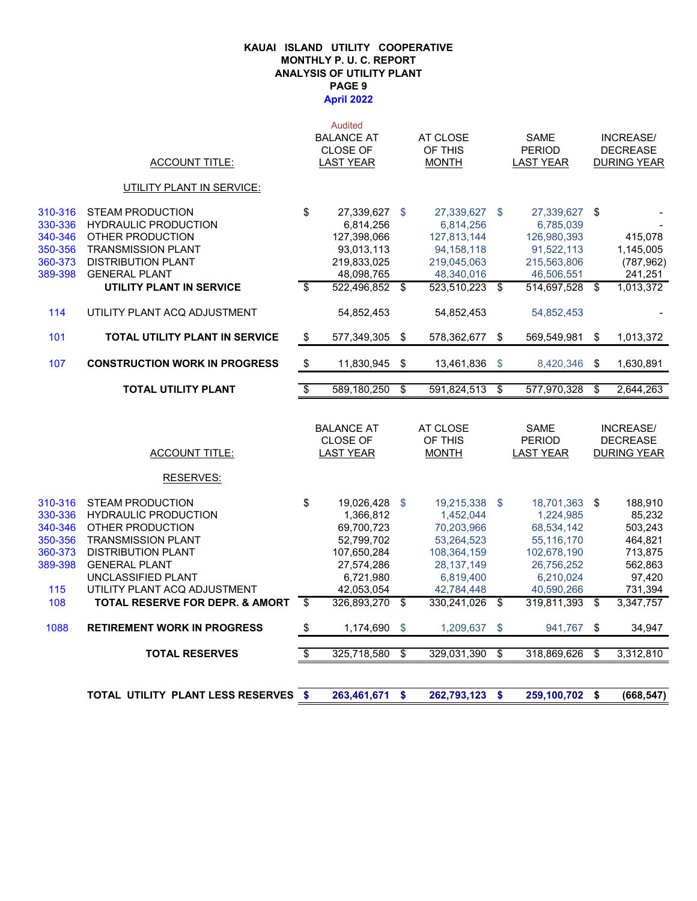#### **April 2022 KAUAI ISLAND UTILITY COOPERATIVE MONTHLY P. U. C. REPORT ANALYSIS OF UTILITY PLANT PAGE 9**

|                                                                       |                                                                                                                                                                                                                    |                          | <b>Audited</b><br><b>BALANCE AT</b>                                                                         |               | AT CLOSE                                                                                                         |                | <b>SAME</b>                                                                                                    |                         | INCREASE/                                                                          |
|-----------------------------------------------------------------------|--------------------------------------------------------------------------------------------------------------------------------------------------------------------------------------------------------------------|--------------------------|-------------------------------------------------------------------------------------------------------------|---------------|------------------------------------------------------------------------------------------------------------------|----------------|----------------------------------------------------------------------------------------------------------------|-------------------------|------------------------------------------------------------------------------------|
|                                                                       | <b>ACCOUNT TITLE:</b>                                                                                                                                                                                              |                          | <b>CLOSE OF</b><br><b>LAST YEAR</b>                                                                         |               | OF THIS<br><b>MONTH</b>                                                                                          |                | <b>PERIOD</b><br><b>LAST YEAR</b>                                                                              |                         | <b>DECREASE</b><br><b>DURING YEAR</b>                                              |
|                                                                       | UTILITY PLANT IN SERVICE:                                                                                                                                                                                          |                          |                                                                                                             |               |                                                                                                                  |                |                                                                                                                |                         |                                                                                    |
| 310-316                                                               | <b>STEAM PRODUCTION</b>                                                                                                                                                                                            | \$                       | 27,339,627                                                                                                  | - \$          | 27,339,627 \$                                                                                                    |                | 27,339,627 \$                                                                                                  |                         |                                                                                    |
| 330-336                                                               | <b>HYDRAULIC PRODUCTION</b>                                                                                                                                                                                        |                          | 6,814,256                                                                                                   |               | 6,814,256                                                                                                        |                | 6,785,039                                                                                                      |                         |                                                                                    |
| 340-346                                                               | OTHER PRODUCTION                                                                                                                                                                                                   |                          | 127,398,066                                                                                                 |               | 127,813,144                                                                                                      |                | 126,980,393                                                                                                    |                         | 415,078                                                                            |
| 350-356                                                               | <b>TRANSMISSION PLANT</b>                                                                                                                                                                                          |                          | 93,013,113                                                                                                  |               | 94, 158, 118                                                                                                     |                | 91,522,113                                                                                                     |                         | 1,145,005                                                                          |
| 360-373<br>389-398                                                    | <b>DISTRIBUTION PLANT</b><br><b>GENERAL PLANT</b>                                                                                                                                                                  |                          | 219,833,025<br>48,098,765                                                                                   |               | 219,045,063<br>48,340,016                                                                                        |                | 215,563,806<br>46,506,551                                                                                      |                         | (787, 962)<br>241,251                                                              |
|                                                                       | UTILITY PLANT IN SERVICE                                                                                                                                                                                           | \$                       | 522,496,852 \$                                                                                              |               | 523,510,223 \$                                                                                                   |                | 514,697,528                                                                                                    | \$                      | 1,013,372                                                                          |
| 114                                                                   | UTILITY PLANT ACQ ADJUSTMENT                                                                                                                                                                                       |                          | 54,852,453                                                                                                  |               | 54,852,453                                                                                                       |                | 54,852,453                                                                                                     |                         |                                                                                    |
| 101                                                                   | <b>TOTAL UTILITY PLANT IN SERVICE</b>                                                                                                                                                                              | \$                       | 577,349,305                                                                                                 | $\frac{1}{2}$ | 578,362,677                                                                                                      | $\mathfrak{s}$ | 569,549,981                                                                                                    | $\sqrt[6]{\frac{1}{2}}$ | 1,013,372                                                                          |
| 107                                                                   | <b>CONSTRUCTION WORK IN PROGRESS</b>                                                                                                                                                                               | \$                       | 11,830,945                                                                                                  | \$            | 13,461,836                                                                                                       | $\mathbb{S}$   | 8,420,346                                                                                                      | \$                      | 1,630,891                                                                          |
|                                                                       | <b>TOTAL UTILITY PLANT</b>                                                                                                                                                                                         | $\overline{\$}$          | 589,180,250                                                                                                 | \$            | 591,824,513                                                                                                      | \$             | 577,970,328                                                                                                    | \$                      | 2,644,263                                                                          |
|                                                                       |                                                                                                                                                                                                                    |                          |                                                                                                             |               |                                                                                                                  |                |                                                                                                                |                         |                                                                                    |
|                                                                       | <b>ACCOUNT TITLE:</b>                                                                                                                                                                                              |                          | <b>BALANCE AT</b><br><b>CLOSE OF</b><br><b>LAST YEAR</b>                                                    |               | AT CLOSE<br>OF THIS<br><b>MONTH</b>                                                                              |                | <b>SAME</b><br><b>PERIOD</b><br><b>LAST YEAR</b>                                                               |                         | INCREASE/<br><b>DECREASE</b><br><b>DURING YEAR</b>                                 |
|                                                                       | RESERVES:                                                                                                                                                                                                          |                          |                                                                                                             |               |                                                                                                                  |                |                                                                                                                |                         |                                                                                    |
| 310-316<br>330-336<br>340-346<br>350-356<br>360-373<br>389-398<br>115 | <b>STEAM PRODUCTION</b><br><b>HYDRAULIC PRODUCTION</b><br>OTHER PRODUCTION<br><b>TRANSMISSION PLANT</b><br><b>DISTRIBUTION PLANT</b><br><b>GENERAL PLANT</b><br>UNCLASSIFIED PLANT<br>UTILITY PLANT ACQ ADJUSTMENT | \$                       | 19,026,428<br>1,366,812<br>69,700,723<br>52,799,702<br>107,650,284<br>27,574,286<br>6,721,980<br>42,053,054 | \$            | 19,215,338 \$<br>1,452,044<br>70,203,966<br>53,264,523<br>108,364,159<br>28, 137, 149<br>6,819,400<br>42,784,448 |                | 18,701,363 \$<br>1,224,985<br>68,534,142<br>55,116,170<br>102,678,190<br>26,756,252<br>6,210,024<br>40,590,266 |                         | 188,910<br>85,232<br>503,243<br>464,821<br>713,875<br>562,863<br>97,420<br>731,394 |
| 108                                                                   | TOTAL RESERVE FOR DEPR. & AMORT                                                                                                                                                                                    | $\overline{\mathbf{s}}$  | 326,893,270                                                                                                 | \$            | 330,241,026 \$                                                                                                   |                | 319,811,393                                                                                                    | \$                      | 3,347,757                                                                          |
| 1088                                                                  | <b>RETIREMENT WORK IN PROGRESS</b>                                                                                                                                                                                 | \$                       | 1,174,690                                                                                                   | \$            | 1,209,637                                                                                                        | \$             | 941,767                                                                                                        | \$                      | 34,947                                                                             |
|                                                                       | <b>TOTAL RESERVES</b>                                                                                                                                                                                              | $\overline{\mathcal{F}}$ | 325,718,580                                                                                                 | \$            | 329,031,390                                                                                                      | \$             | 318,869,626                                                                                                    | \$                      | 3,312,810                                                                          |

**TOTAL UTILITY PLANT LESS RESERVES \$ 262,793,123 263,461,671 \$ 259,100,702 \$ \$ (668,547)**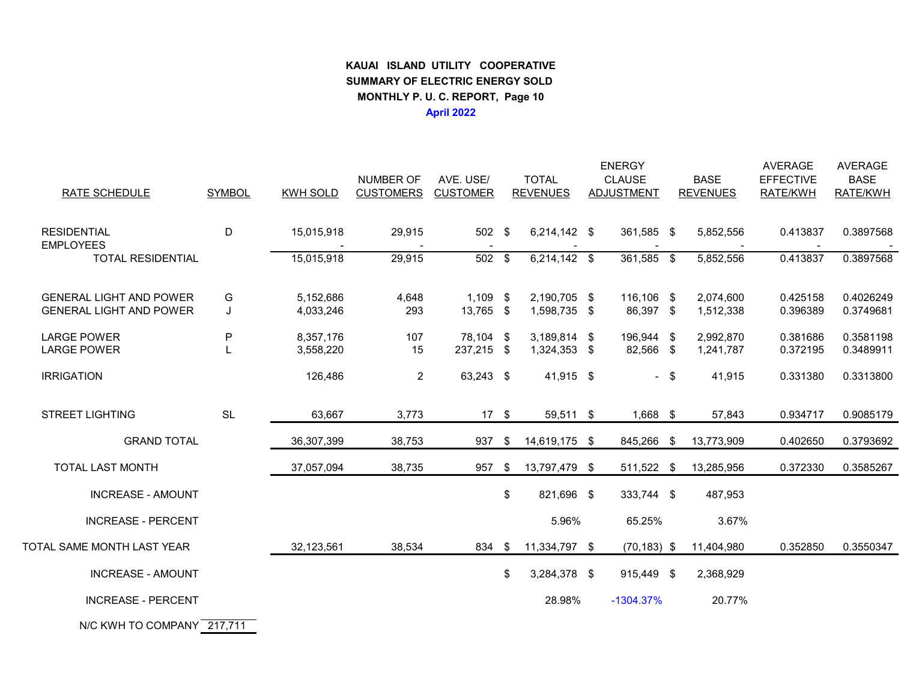# **KAUAI ISLAND UTILITY COOPERATIVE SUMMARY OF ELECTRIC ENERGY SOLD MONTHLY P. U. C. REPORT, Page 10April 2022**

| RATE SCHEDULE                                                    | <b>SYMBOL</b> | <b>KWH SOLD</b>        | <b>NUMBER OF</b><br><b>CUSTOMERS</b> | AVE. USE/<br><b>CUSTOMER</b> |     | <b>TOTAL</b><br><b>REVENUES</b> | <b>ENERGY</b><br><b>CLAUSE</b><br>ADJUSTMENT | <b>BASE</b><br><b>REVENUES</b> | <b>AVERAGE</b><br><b>EFFECTIVE</b><br>RATE/KWH | <b>AVERAGE</b><br><b>BASE</b><br>RATE/KWH |
|------------------------------------------------------------------|---------------|------------------------|--------------------------------------|------------------------------|-----|---------------------------------|----------------------------------------------|--------------------------------|------------------------------------------------|-------------------------------------------|
| <b>RESIDENTIAL</b><br><b>EMPLOYEES</b>                           | D             | 15,015,918             | 29,915                               | 502 \$                       |     | $6,214,142$ \$                  | 361,585 \$                                   | 5,852,556                      | 0.413837                                       | 0.3897568                                 |
| <b>TOTAL RESIDENTIAL</b>                                         |               | 15,015,918             | 29,915                               | $502$ \$                     |     | $6,2\overline{14,142}$ \$       | $361,585$ \$                                 | 5,852,556                      | 0.413837                                       | 0.3897568                                 |
| <b>GENERAL LIGHT AND POWER</b><br><b>GENERAL LIGHT AND POWER</b> | G<br>J        | 5,152,686<br>4,033,246 | 4,648<br>293                         | $1,109$ \$<br>13,765 \$      |     | 2,190,705 \$<br>1.598.735 \$    | 116,106 \$<br>86,397 \$                      | 2,074,600<br>1,512,338         | 0.425158<br>0.396389                           | 0.4026249<br>0.3749681                    |
| <b>LARGE POWER</b><br><b>LARGE POWER</b>                         | P             | 8,357,176<br>3,558,220 | 107<br>15                            | 78,104 \$<br>237,215 \$      |     | 3,189,814 \$<br>1,324,353 \$    | 196,944 \$<br>82,566 \$                      | 2,992,870<br>1,241,787         | 0.381686<br>0.372195                           | 0.3581198<br>0.3489911                    |
| <b>IRRIGATION</b>                                                |               | 126,486                | $\overline{a}$                       | 63,243 \$                    |     | 41,915 \$                       | $-$ \$                                       | 41,915                         | 0.331380                                       | 0.3313800                                 |
| <b>STREET LIGHTING</b>                                           | <b>SL</b>     | 63,667                 | 3,773                                | $17 \quad$                   |     | 59,511 \$                       | $1,668$ \$                                   | 57,843                         | 0.934717                                       | 0.9085179                                 |
| <b>GRAND TOTAL</b>                                               |               | 36,307,399             | 38,753                               | 937                          | -\$ | 14,619,175 \$                   | 845,266                                      | \$<br>13,773,909               | 0.402650                                       | 0.3793692                                 |
| TOTAL LAST MONTH                                                 |               | 37,057,094             | 38,735                               | 957                          | -\$ | 13,797,479 \$                   | 511,522 \$                                   | 13,285,956                     | 0.372330                                       | 0.3585267                                 |
| <b>INCREASE - AMOUNT</b>                                         |               |                        |                                      |                              | \$  | 821,696 \$                      | 333,744 \$                                   | 487,953                        |                                                |                                           |
| <b>INCREASE - PERCENT</b>                                        |               |                        |                                      |                              |     | 5.96%                           | 65.25%                                       | 3.67%                          |                                                |                                           |
| TOTAL SAME MONTH LAST YEAR                                       |               | 32,123,561             | 38,534                               | 834 \$                       |     | 11,334,797 \$                   | $(70, 183)$ \$                               | 11,404,980                     | 0.352850                                       | 0.3550347                                 |
| <b>INCREASE - AMOUNT</b>                                         |               |                        |                                      |                              | \$  | 3,284,378 \$                    | 915,449 \$                                   | 2,368,929                      |                                                |                                           |
| <b>INCREASE - PERCENT</b>                                        |               |                        |                                      |                              |     | 28.98%                          | $-1304.37%$                                  | 20.77%                         |                                                |                                           |
| N/C KWH TO COMPANY 217,711                                       |               |                        |                                      |                              |     |                                 |                                              |                                |                                                |                                           |